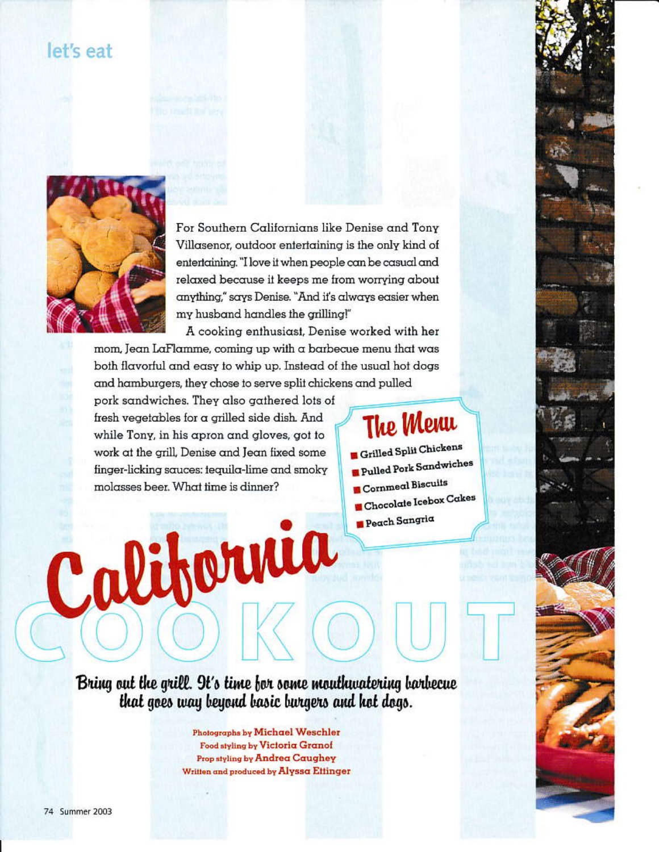### let's eat



For Southern Californians like Denise and Tony Villasenor, outdoor entertaining is the only kind of entertaining. "I love it when people can be casual and relaxed because it keeps me from worrying about anything," says Denise. "And it's always easier when my husband handles the grilling!"

A cooking enthusiast, Denise worked with her mom, Jean LaFlamme, coming up with a barbecue menu that was both flavorful and easy to whip up. Instead of the usual hot dogs and hamburgers, they chose to serve split chickens and pulled

pork sandwiches. They also gathered lots of fresh vegetables for a grilled side dish. And while Tony, in his apron and gloves, got to work at the grill, Denise and Jean fixed some finger-licking squces: tequilg-lime and smoky molasses beer. What time is dinner?

California

## **The Menu**

Grilled Split Chickens Pulled Pork Sandwiches Cornmeal Biscuits **Chocolate Icebox Cakes B** Peach Sangria

Bring out the grill. 9t's time for some mouthwatering barbecue that goes way beyond basic burgers and hot dogs.

> Photographs by Michael Weschler Food styling by Victoria Granof Prop styling by Andrea Caughey Written and produced by Alyssa Ettinger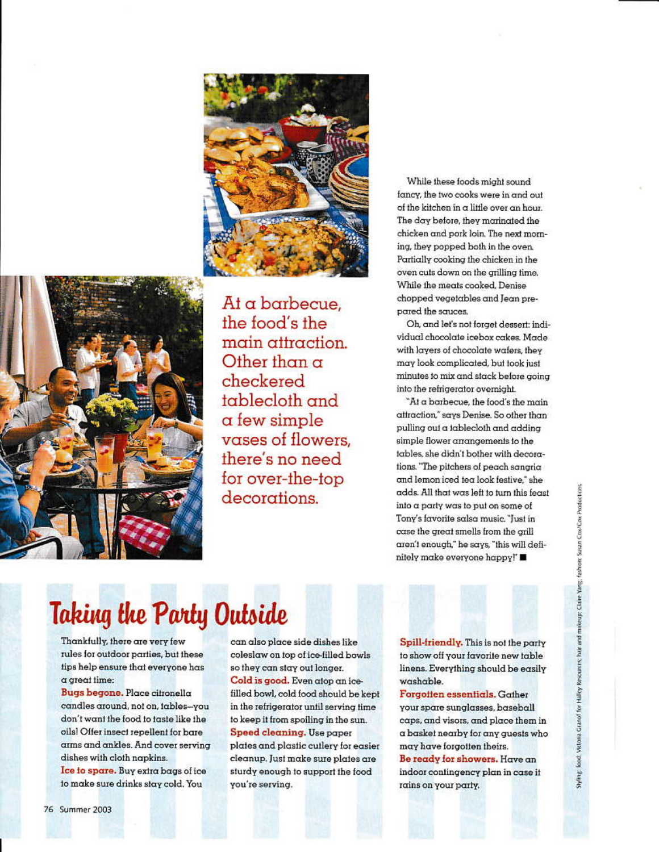



At a barbecue, the food's the main attraction. Other than  $\alpha$ checkered tablecloth and  $\alpha$  few simple vases of flowers. there's no need for over-the-top decorations.

While these foods might sound fancy, the two cooks were in and out of the kitchen in a little over an hour. The day before, they marinated the chicken and pork loin. The next morning, they popped both in the oven. Partially cooking the chicken in the oven cuts down on the grilling time. While the meats cooked, Denise chopped vegetables and Jean prepared the sauces.

Oh, and let's not forget dessert: individual chocolate icebox cakes. Made with layers of chocolate wafers, they may look complicated, but took just minutes to mix and stack before going into the refrigerator overnight.

"At a barbecue, the food's the main attraction," says Denise. So other than pulling out a tablecloth and adding simple flower arrangements to the tables, she didn't bother with decorations. "The pitchers of peach sangria and lemon iced tea look festive," she adds. All that was left to turn this feast into a party was to put on some of Tony's favorite salsa music. "Just in case the great smells from the grill aren't enough," he says, "this will definitely make everyone happy!"

# Taking the Party Outside

Thankfully, there are very few rules for outdoor parties, but these tips help ensure that everyone has  $\alpha$  great time:

Bugs begone. Place citronella candles around, not on, tables-you don't want the food to taste like the oils! Offer insect repellent for bare arms and ankles. And cover serving dishes with cloth napkins.

Ice to spare. Buy extra bags of ice to make sure drinks stay cold. You

can also place side dishes like coleslaw on top of ice-filled bowls so they can stay out longer. Cold is good. Even atop an icefilled bowl, cold food should be kept in the refrigerator until serving time to keep it from spoiling in the sun. Speed cleaning. Use paper plates and plastic cutlery for easier cleanup. Just make sure plates are sturdy enough to support the food you're serving.

Spill-friendly. This is not the party to show off your favorite new table linens. Everything should be easily washable.

Forgotten essentials. Gather your spare sunglasses, baseball caps, and visors, and place them in a basket nearby for any quests who may have forgotten theirs. Be ready for showers. Have an indoor contingency plan in case it rains on your party.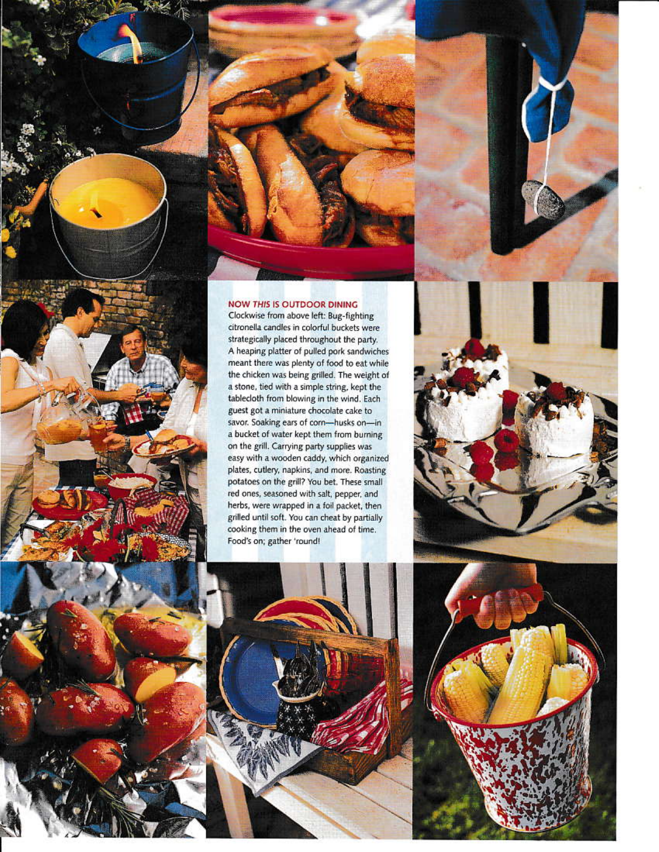

Clockwise from above left: Bug-fighting citronella candles in colorful buckets were strategically placed throughout the party. A heaping platter of pulled pork sandwiches meant there was plenty of food to eat while the chicken was being grilled. The weight of a stone, tied with a simple string, kept the tablecloth from blowing in the wind. Each guest got a miniature chocolate cake to savor. Soaking ears of corn-husks on-in a bucket of water kept them from burning on the grill. Carrying party supplies was easy with a wooden caddy, which organized plates, cutlery, napkins, and more. Roasting potatoes on the grill? You bet. These small red ones, seasoned with salt, pepper, and herbs, were wrapped in a foil packet, then grilled until soft. You can cheat by partially cooking them in the oven ahead of time. Food's on; gather 'round!

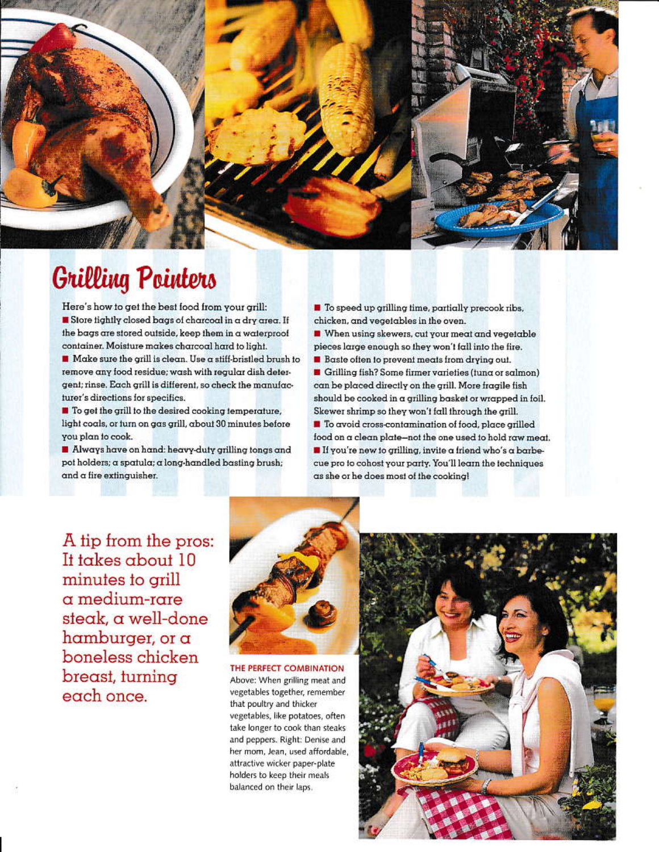

## **Grilling Pointers**

Here's how to get the best food from your grill: Store tightly closed bags of charcoal in a dry area. If the bags are stored outside, keep them in a waterproof container. Moisture makes charcoal hard to light.

Make sure the grill is clean. Use a stiff-bristled brush to remove any food residue; wash with regular dish detergent; rinse. Each grill is different, so check the manufacturer's directions for specifics.

■ To get the grill to the desired cooking temperature, light coals, or turn on gas grill, about 30 minutes before you plan to cook.

Always have on hand: heavy-duty grilling tongs and pot holders; a spatula; a long-handled basting brush; and a fire extinguisher.

To speed up grilling time, partially precook ribs, chicken, and vegetables in the oven.

When using skewers, cut your meat and vegetable pieces large enough so they won't fall into the fire.

Baste often to prevent meats from drying out.

Grilling fish? Some firmer varieties (tuna or salmon) can be placed directly on the grill. More fragile fish should be cooked in a grilling basket or wrapped in foil. Skewer shrimp so they won't fall through the grill.

To avoid cross-contamination of food, place grilled food on a clean plate-not the one used to hold raw meat. If you're new to grilling, invite a friend who's a barbecue pro to cohost your party. You'll learn the techniques as she or he does most of the cooking!

A tip from the pros: It takes about 10 minutes to grill  $\alpha$  medium-rare steak, a well-done hamburger, or  $\alpha$ boneless chicken breast, turning each once.



THE PERFECT COMBINATION Above: When grilling meat and vegetables together, remember that poultry and thicker vegetables, like potatoes, often take longer to cook than steaks and peppers. Right: Denise and her mom, Jean, used affordable, attractive wicker paper-plate holders to keep their meals balanced on their laps.